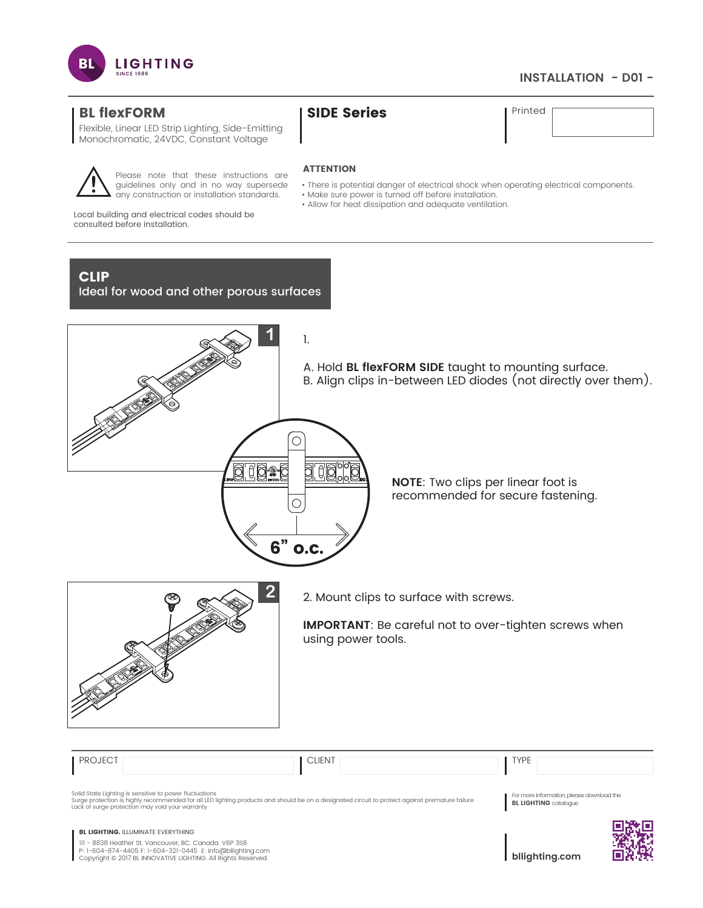

# **INSTALLATION - D01 -**

# BL flexFORM SIDE Series Printed

Flexible, Linear LED Strip Lighting, Side-Emitting Monochromatic, 24VDC, Constant Voltage

## **ATTENTION**

- There is potential danger of electrical shock when operating electrical components.
- Make sure power is turned off before installation.
- Allow for heat dissipation and adequate ventilation.

Local building and electrical codes should be consulted before installation.

# CLIP

Ideal for wood and other porous surfaces

Please note that these instructions are guidelines only and in no way supersede any construction or installation standards.



**NOTE**: Two clips per linear foot is

recommended for secure fastening.



**2** 2. Mount clips to surface with screws.

**IMPORTANT**: Be careful not to over-tighten screws when using power tools.

| <b>PROJECT</b>                                                                                                                                                                                                                    | <b>CLIENT</b>                                                                                                                                   | <b>TYPE</b>                                                               |  |
|-----------------------------------------------------------------------------------------------------------------------------------------------------------------------------------------------------------------------------------|-------------------------------------------------------------------------------------------------------------------------------------------------|---------------------------------------------------------------------------|--|
| Solid State Lighting is sensitive to power fluctuations<br>Lack of surge protection may void your warranty                                                                                                                        | Surge protection is highly recommended for all LED lighting products and should be on a designated circuit to protect against premature failure | For more information, please download the<br><b>BL LIGHTING</b> catalogue |  |
| <b>BL LIGHTING. ILLUMINATE EVERYTHING</b><br>III - 8838 Heather St. Vancouver, BC. Canada. V6P 3S8<br>P: 1-604-874-4405 F: 1-604-321-0445 E: info@bllighting.com<br>Copyright © 2017 BL INNOVATIVE LIGHTING. All Rights Reserved. |                                                                                                                                                 | bllighting.com                                                            |  |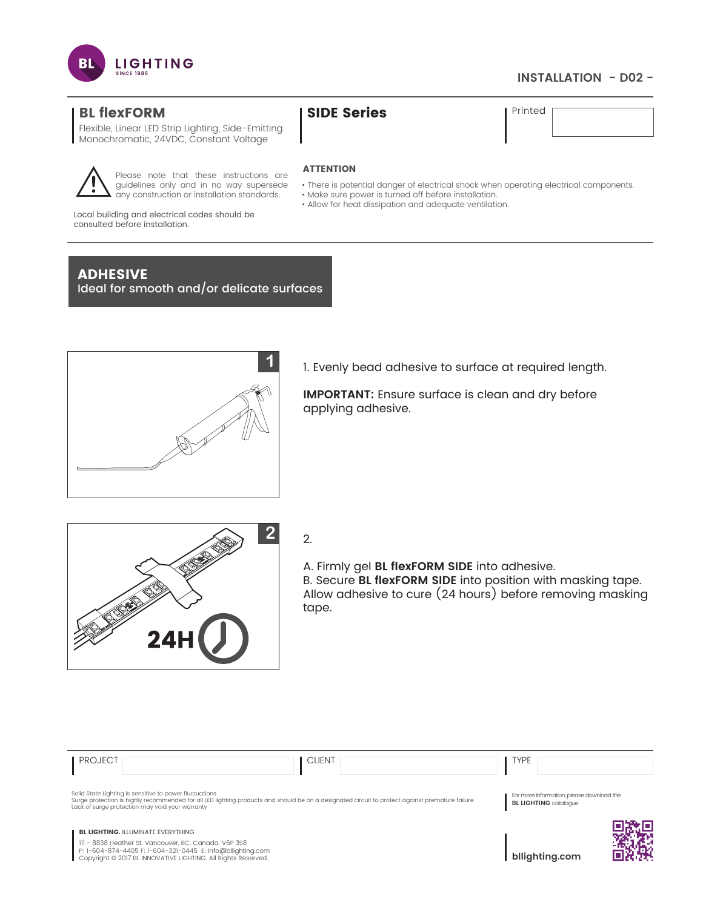

## **INSTALLATION - D02 -**

# BL flexFORM SIDE Series Printed

Flexible, Linear LED Strip Lighting, Side-Emitting Monochromatic, 24VDC, Constant Voltage



Please note that these instructions are guidelines only and in no way supersede any construction or installation standards.

## **ATTENTION**

- There is potential danger of electrical shock when operating electrical components.
- Make sure power is turned off before installation.
- Allow for heat dissipation and adequate ventilation.

Local building and electrical codes should be consulted before installation.

# ADHESIVE

Ideal for smooth and/or delicate surfaces



1. Evenly bead adhesive to surface at required length.

**IMPORTANT:** Ensure surface is clean and dry before applying adhesive.



A. Firmly gel **BL flexFORM SIDE** into adhesive. B. Secure **BL flexFORM SIDE** into position with masking tape. Allow adhesive to cure (24 hours) before removing masking tape.

| <b>PROJECT</b> | <b>CLIENT</b>                                                                                                                                                                                                                                                 | <b>TYPE</b>                                                               |
|----------------|---------------------------------------------------------------------------------------------------------------------------------------------------------------------------------------------------------------------------------------------------------------|---------------------------------------------------------------------------|
|                | Solid State Lighting is sensitive to power fluctuations<br>Surge protection is highly recommended for all LED lighting products and should be on a designated circuit to protect against premature failure<br>Lack of surge protection may void your warranty | For more information, please download the<br><b>BL LIGHTING</b> catalogue |
|                | <b>BL LIGHTING. ILLUMINATE EVERYTHING</b><br>III - 8838 Heather St. Vancouver, BC. Canada. V6P 3S8<br>P: 1-604-874-4405 F: 1-604-321-0445 E: info@bllighting.com<br>Copyright © 2017 BL INNOVATIVE LIGHTING. All Rights Reserved.                             | bllighting.com                                                            |